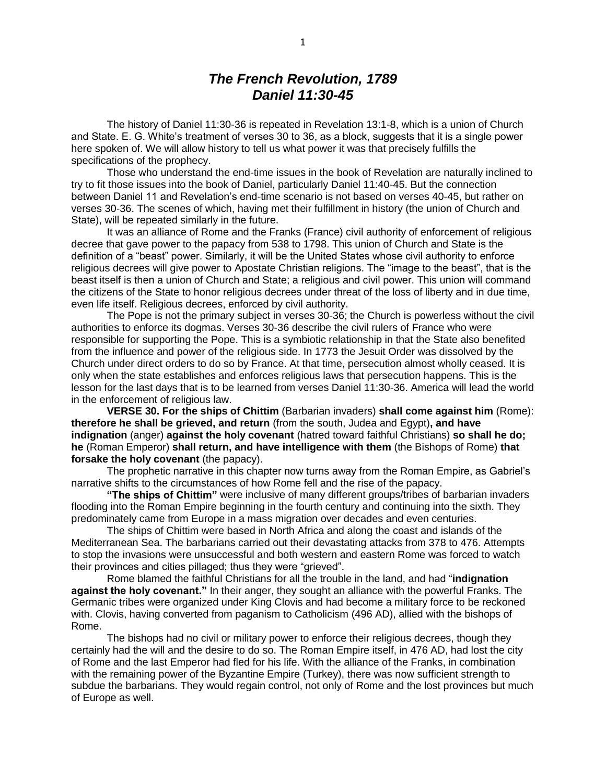# *The French Revolution, 1789 Daniel 11:30-45*

The history of Daniel 11:30-36 is repeated in Revelation 13:1-8, which is a union of Church and State. E. G. White's treatment of verses 30 to 36, as a block, suggests that it is a single power here spoken of. We will allow history to tell us what power it was that precisely fulfills the specifications of the prophecy.

Those who understand the end-time issues in the book of Revelation are naturally inclined to try to fit those issues into the book of Daniel, particularly Daniel 11:40-45. But the connection between Daniel 11 and Revelation's end-time scenario is not based on verses 40-45, but rather on verses 30-36. The scenes of which, having met their fulfillment in history (the union of Church and State), will be repeated similarly in the future.

It was an alliance of Rome and the Franks (France) civil authority of enforcement of religious decree that gave power to the papacy from 538 to 1798. This union of Church and State is the definition of a "beast" power. Similarly, it will be the United States whose civil authority to enforce religious decrees will give power to Apostate Christian religions. The "image to the beast", that is the beast itself is then a union of Church and State; a religious and civil power. This union will command the citizens of the State to honor religious decrees under threat of the loss of liberty and in due time, even life itself. Religious decrees, enforced by civil authority.

The Pope is not the primary subject in verses 30-36; the Church is powerless without the civil authorities to enforce its dogmas. Verses 30-36 describe the civil rulers of France who were responsible for supporting the Pope. This is a symbiotic relationship in that the State also benefited from the influence and power of the religious side. In 1773 the Jesuit Order was dissolved by the Church under direct orders to do so by France. At that time, persecution almost wholly ceased. It is only when the state establishes and enforces religious laws that persecution happens. This is the lesson for the last days that is to be learned from verses Daniel 11:30-36. America will lead the world in the enforcement of religious law.

**VERSE 30. For the ships of Chittim** (Barbarian invaders) **shall come against him** (Rome): **therefore he shall be grieved, and return** (from the south, Judea and Egypt)**, and have indignation** (anger) **against the holy covenant** (hatred toward faithful Christians) **so shall he do; he** (Roman Emperor) **shall return, and have intelligence with them** (the Bishops of Rome) **that forsake the holy covenant** (the papacy).

The prophetic narrative in this chapter now turns away from the Roman Empire, as Gabriel's narrative shifts to the circumstances of how Rome fell and the rise of the papacy.

**"The ships of Chittim"** were inclusive of many different groups/tribes of barbarian invaders flooding into the Roman Empire beginning in the fourth century and continuing into the sixth. They predominately came from Europe in a mass migration over decades and even centuries.

The ships of Chittim were based in North Africa and along the coast and islands of the Mediterranean Sea. The barbarians carried out their devastating attacks from 378 to 476. Attempts to stop the invasions were unsuccessful and both western and eastern Rome was forced to watch their provinces and cities pillaged; thus they were "grieved".

Rome blamed the faithful Christians for all the trouble in the land, and had "**indignation against the holy covenant."** In their anger, they sought an alliance with the powerful Franks. The Germanic tribes were organized under King Clovis and had become a military force to be reckoned with. Clovis, having converted from paganism to Catholicism (496 AD), allied with the bishops of Rome.

The bishops had no civil or military power to enforce their religious decrees, though they certainly had the will and the desire to do so. The Roman Empire itself, in 476 AD, had lost the city of Rome and the last Emperor had fled for his life. With the alliance of the Franks, in combination with the remaining power of the Byzantine Empire (Turkey), there was now sufficient strength to subdue the barbarians. They would regain control, not only of Rome and the lost provinces but much of Europe as well.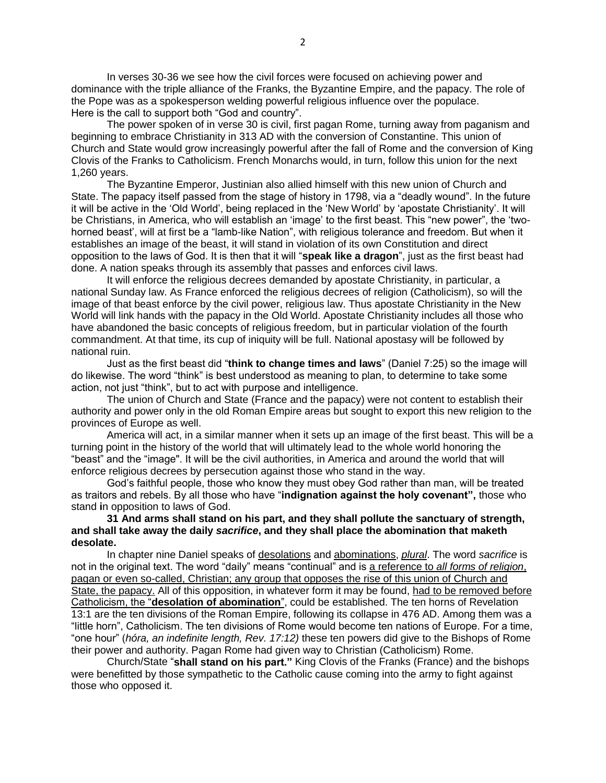In verses 30-36 we see how the civil forces were focused on achieving power and dominance with the triple alliance of the Franks, the Byzantine Empire, and the papacy. The role of the Pope was as a spokesperson welding powerful religious influence over the populace. Here is the call to support both "God and country".

The power spoken of in verse 30 is civil, first pagan Rome, turning away from paganism and beginning to embrace Christianity in 313 AD with the conversion of Constantine. This union of Church and State would grow increasingly powerful after the fall of Rome and the conversion of King Clovis of the Franks to Catholicism. French Monarchs would, in turn, follow this union for the next 1,260 years.

The Byzantine Emperor, Justinian also allied himself with this new union of Church and State. The papacy itself passed from the stage of history in 1798, via a "deadly wound". In the future it will be active in the 'Old World', being replaced in the 'New World' by 'apostate Christianity'. It will be Christians, in America, who will establish an 'image' to the first beast. This "new power", the 'twohorned beast', will at first be a "lamb-like Nation", with religious tolerance and freedom. But when it establishes an image of the beast, it will stand in violation of its own Constitution and direct opposition to the laws of God. It is then that it will "**speak like a dragon**", just as the first beast had done. A nation speaks through its assembly that passes and enforces civil laws.

It will enforce the religious decrees demanded by apostate Christianity, in particular, a national Sunday law. As France enforced the religious decrees of religion (Catholicism), so will the image of that beast enforce by the civil power, religious law. Thus apostate Christianity in the New World will link hands with the papacy in the Old World. Apostate Christianity includes all those who have abandoned the basic concepts of religious freedom, but in particular violation of the fourth commandment. At that time, its cup of iniquity will be full. National apostasy will be followed by national ruin.

Just as the first beast did "**think to change times and laws**" (Daniel 7:25) so the image will do likewise. The word "think" is best understood as meaning to plan, to determine to take some action, not just "think", but to act with purpose and intelligence.

The union of Church and State (France and the papacy) were not content to establish their authority and power only in the old Roman Empire areas but sought to export this new religion to the provinces of Europe as well.

America will act, in a similar manner when it sets up an image of the first beast. This will be a turning point in the history of the world that will ultimately lead to the whole world honoring the "beast" and the "image". It will be the civil authorities, in America and around the world that will enforce religious decrees by persecution against those who stand in the way.

God's faithful people, those who know they must obey God rather than man, will be treated as traitors and rebels. By all those who have "**indignation against the holy covenant",** those who stand **i**n opposition to laws of God.

### **31 And arms shall stand on his part, and they shall pollute the sanctuary of strength, and shall take away the daily** *sacrifice***, and they shall place the abomination that maketh desolate.**

In chapter nine Daniel speaks of desolations and abominations, *plural*. The word *sacrifice* is not in the original text. The word "daily" means "continual" and is a reference to *all forms of religion*, pagan or even so-called, Christian; any group that opposes the rise of this union of Church and State, the papacy. All of this opposition, in whatever form it may be found, had to be removed before Catholicism, the "**desolation of abomination**", could be established. The ten horns of Revelation 13:1 are the ten divisions of the Roman Empire, following its collapse in 476 AD. Among them was a "little horn", Catholicism. The ten divisions of Rome would become ten nations of Europe. For a time, "one hour" (*hóra, an indefinite length, Rev. 17:12)* these ten powers did give to the Bishops of Rome their power and authority. Pagan Rome had given way to Christian (Catholicism) Rome.

Church/State "**shall stand on his part."** King Clovis of the Franks (France) and the bishops were benefitted by those sympathetic to the Catholic cause coming into the army to fight against those who opposed it.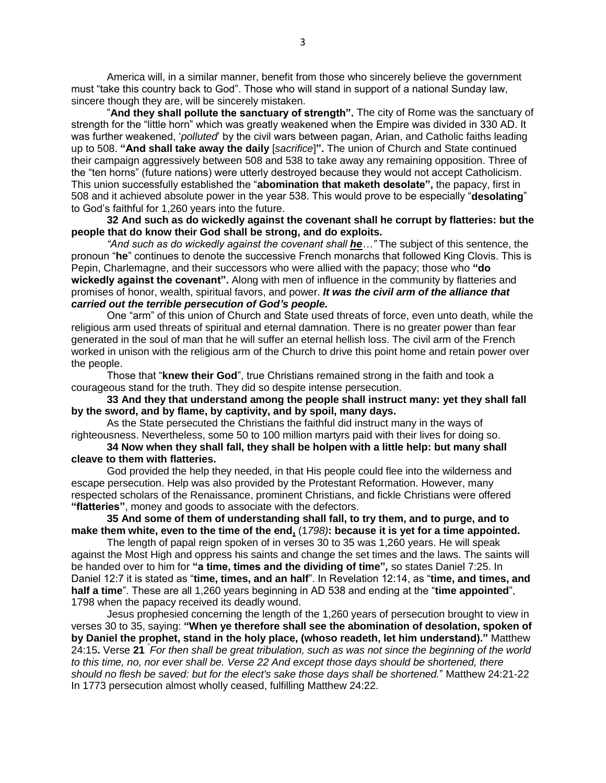America will, in a similar manner, benefit from those who sincerely believe the government must "take this country back to God". Those who will stand in support of a national Sunday law, sincere though they are, will be sincerely mistaken.

"**And they shall pollute the sanctuary of strength".** The city of Rome was the sanctuary of strength for the "little horn" which was greatly weakened when the Empire was divided in 330 AD. It was further weakened, '*polluted*' by the civil wars between pagan, Arian, and Catholic faiths leading up to 508. **"And shall take away the daily** [*sacrifice*]**".** The union of Church and State continued their campaign aggressively between 508 and 538 to take away any remaining opposition. Three of the "ten horns" (future nations) were utterly destroyed because they would not accept Catholicism. This union successfully established the "**abomination that maketh desolate",** the papacy, first in 508 and it achieved absolute power in the year 538. This would prove to be especially "**desolating**" to God's faithful for 1,260 years into the future.

**32 And such as do wickedly against the covenant shall he corrupt by flatteries: but the people that do know their God shall be strong, and do exploits.**

*"And such as do wickedly against the covenant shall he…"* The subject of this sentence, the pronoun "**he**" continues to denote the successive French monarchs that followed King Clovis. This is Pepin, Charlemagne, and their successors who were allied with the papacy; those who **"do wickedly against the covenant".** Along with men of influence in the community by flatteries and promises of honor, wealth, spiritual favors, and power. *It was the civil arm of the alliance that carried out the terrible persecution of God's people.*

One "arm" of this union of Church and State used threats of force, even unto death, while the religious arm used threats of spiritual and eternal damnation. There is no greater power than fear generated in the soul of man that he will suffer an eternal hellish loss. The civil arm of the French worked in unison with the religious arm of the Church to drive this point home and retain power over the people.

Those that "**knew their God**", true Christians remained strong in the faith and took a courageous stand for the truth. They did so despite intense persecution.

**33 And they that understand among the people shall instruct many: yet they shall fall by the sword, and by flame, by captivity, and by spoil, many days.**

As the State persecuted the Christians the faithful did instruct many in the ways of righteousness. Nevertheless, some 50 to 100 million martyrs paid with their lives for doing so.

# **34 Now when they shall fall, they shall be holpen with a little help: but many shall cleave to them with flatteries.**

God provided the help they needed, in that His people could flee into the wilderness and escape persecution. Help was also provided by the Protestant Reformation. However, many respected scholars of the Renaissance, prominent Christians, and fickle Christians were offered **"flatteries"**, money and goods to associate with the defectors.

**35 And some of them of understanding shall fall, to try them, and to purge, and to make them white, even to the time of the end,** (1*798)***: because it is yet for a time appointed.**

The length of papal reign spoken of in verses 30 to 35 was 1,260 years. He will speak against the Most High and oppress his saints and change the set times and the laws. The saints will be handed over to him for **"a time, times and the dividing of time"***,* so states Daniel 7:25. In Daniel 12:7 it is stated as "**time, times, and an half**". In Revelation 12:14, as "**time, and times, and half a time**". These are all 1,260 years beginning in AD 538 and ending at the "**time appointed**", 1798 when the papacy received its deadly wound.

Jesus prophesied concerning the length of the 1,260 years of persecution brought to view in verses 30 to 35, saying: **"When ye therefore shall see the abomination of desolation, spoken of by Daniel the prophet, stand in the holy place, (whoso readeth, let him understand)."** Matthew 24:15**.** Verse **21** " *For then shall be great tribulation, such as was not since the beginning of the world to this time, no, nor ever shall be. Verse 22 And except those days should be shortened, there should no flesh be saved: but for the elect's sake those days shall be shortened.*" Matthew 24:21-22 In 1773 persecution almost wholly ceased, fulfilling Matthew 24:22.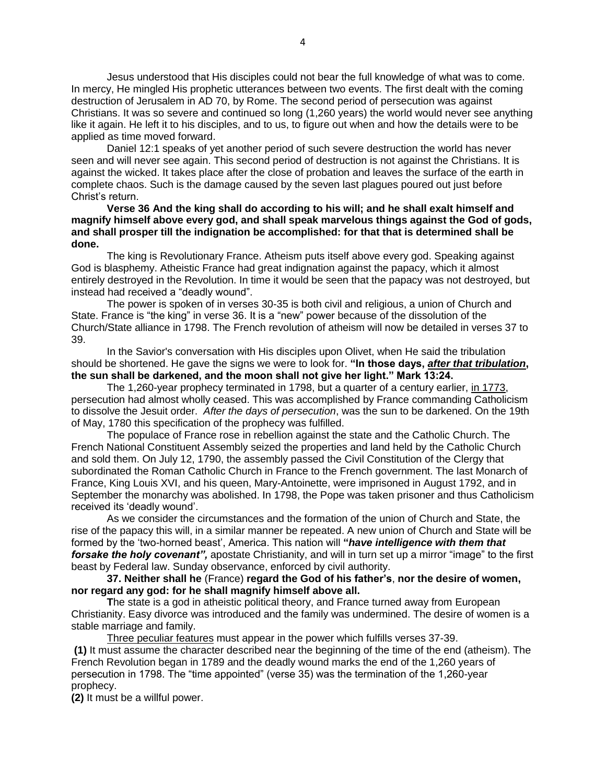Jesus understood that His disciples could not bear the full knowledge of what was to come. In mercy, He mingled His prophetic utterances between two events. The first dealt with the coming destruction of Jerusalem in AD 70, by Rome. The second period of persecution was against Christians. It was so severe and continued so long (1,260 years) the world would never see anything like it again. He left it to his disciples, and to us, to figure out when and how the details were to be applied as time moved forward.

Daniel 12:1 speaks of yet another period of such severe destruction the world has never seen and will never see again. This second period of destruction is not against the Christians. It is against the wicked. It takes place after the close of probation and leaves the surface of the earth in complete chaos. Such is the damage caused by the seven last plagues poured out just before Christ's return.

**Verse 36 And the king shall do according to his will; and he shall exalt himself and magnify himself above every god, and shall speak marvelous things against the God of gods, and shall prosper till the indignation be accomplished: for that that is determined shall be done.**

The king is Revolutionary France. Atheism puts itself above every god. Speaking against God is blasphemy. Atheistic France had great indignation against the papacy, which it almost entirely destroyed in the Revolution. In time it would be seen that the papacy was not destroyed, but instead had received a "deadly wound".

The power is spoken of in verses 30-35 is both civil and religious, a union of Church and State. France is "the king" in verse 36. It is a "new" power because of the dissolution of the Church/State alliance in 1798. The French revolution of atheism will now be detailed in verses 37 to 39.

In the Savior's conversation with His disciples upon Olivet, when He said the tribulation should be shortened. He gave the signs we were to look for. **"In those days,** *after that tribulation***, the sun shall be darkened, and the moon shall not give her light." Mark 13:24.**

The 1,260-year prophecy terminated in 1798, but a quarter of a century earlier, in 1773, persecution had almost wholly ceased. This was accomplished by France commanding Catholicism to dissolve the Jesuit order. *After the days of persecution*, was the sun to be darkened. On the 19th of May, 1780 this specification of the prophecy was fulfilled.

The populace of France rose in rebellion against the state and the Catholic Church. The French National Constituent Assembly seized the properties and land held by the Catholic Church and sold them. On July 12, 1790, the assembly passed the Civil Constitution of the Clergy that subordinated the Roman Catholic Church in France to the French government. The last Monarch of France, King Louis XVI, and his queen, Mary-Antoinette, were imprisoned in August 1792, and in September the monarchy was abolished. In 1798, the Pope was taken prisoner and thus Catholicism received its 'deadly wound'.

As we consider the circumstances and the formation of the union of Church and State, the rise of the papacy this will, in a similar manner be repeated. A new union of Church and State will be formed by the 'two-horned beast', America. This nation will **"***have intelligence with them that forsake the holy covenant",* apostate Christianity, and will in turn set up a mirror "image" to the first beast by Federal law. Sunday observance, enforced by civil authority.

**37. Neither shall he** (France) **regard the God of his father's**, **nor the desire of women, nor regard any god: for he shall magnify himself above all.**

**T**he state is a god in atheistic political theory, and France turned away from European Christianity. Easy divorce was introduced and the family was undermined. The desire of women is a stable marriage and family.

Three peculiar features must appear in the power which fulfills verses 37-39. **(1)** It must assume the character described near the beginning of the time of the end (atheism). The French Revolution began in 1789 and the deadly wound marks the end of the 1,260 years of persecution in 1798. The "time appointed" (verse 35) was the termination of the 1,260-year prophecy.

**(2)** It must be a willful power.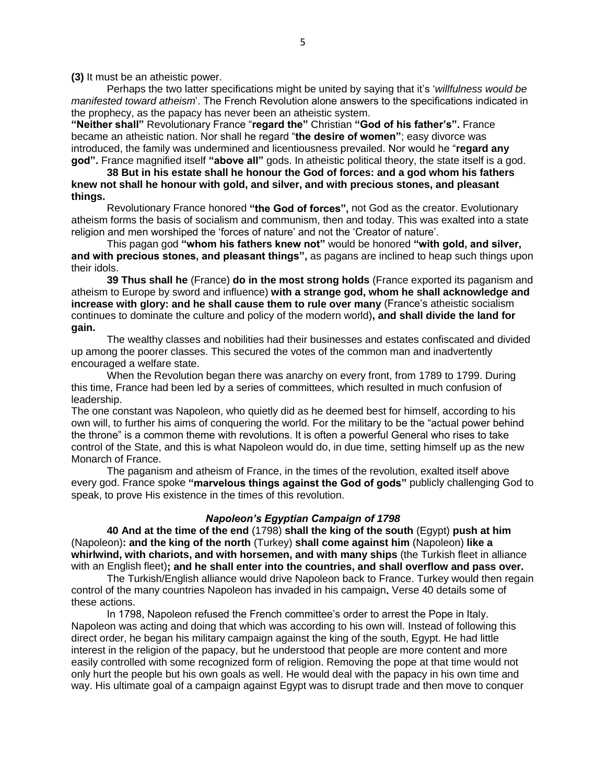**(3)** It must be an atheistic power.

Perhaps the two latter specifications might be united by saying that it's '*willfulness would be manifested toward atheism*'. The French Revolution alone answers to the specifications indicated in the prophecy, as the papacy has never been an atheistic system.

**"Neither shall"** Revolutionary France "**regard the"** Christian **"God of his father's".** France became an atheistic nation. Nor shall he regard "**the desire of women"**; easy divorce was introduced, the family was undermined and licentiousness prevailed. Nor would he "**regard any god".** France magnified itself **"above all"** gods. In atheistic political theory, the state itself is a god.

**38 But in his estate shall he honour the God of forces: and a god whom his fathers knew not shall he honour with gold, and silver, and with precious stones, and pleasant things.**

Revolutionary France honored **"the God of forces",** not God as the creator. Evolutionary atheism forms the basis of socialism and communism, then and today. This was exalted into a state religion and men worshiped the 'forces of nature' and not the 'Creator of nature'.

This pagan god **"whom his fathers knew not"** would be honored **"with gold, and silver, and with precious stones, and pleasant things",** as pagans are inclined to heap such things upon their idols.

**39 Thus shall he** (France) **do in the most strong holds** (France exported its paganism and atheism to Europe by sword and influence) **with a strange god, whom he shall acknowledge and increase with glory: and he shall cause them to rule over many** (France's atheistic socialism continues to dominate the culture and policy of the modern world)**, and shall divide the land for gain.**

The wealthy classes and nobilities had their businesses and estates confiscated and divided up among the poorer classes. This secured the votes of the common man and inadvertently encouraged a welfare state.

When the Revolution began there was anarchy on every front, from 1789 to 1799. During this time, France had been led by a series of committees, which resulted in much confusion of leadership.

The one constant was Napoleon, who quietly did as he deemed best for himself, according to his own will, to further his aims of conquering the world. For the military to be the "actual power behind the throne" is a common theme with revolutions. It is often a powerful General who rises to take control of the State, and this is what Napoleon would do, in due time, setting himself up as the new Monarch of France.

The paganism and atheism of France, in the times of the revolution, exalted itself above every god. France spoke **"marvelous things against the God of gods"** publicly challenging God to speak, to prove His existence in the times of this revolution.

#### *Napoleon's Egyptian Campaign of 1798*

**40 And at the time of the end** (1798) **shall the king of the south** (Egypt) **push at him**  (Napoleon)**: and the king of the north** (Turkey) **shall come against him** (Napoleon) **like a whirlwind, with chariots, and with horsemen, and with many ships** (the Turkish fleet in alliance with an English fleet)**; and he shall enter into the countries, and shall overflow and pass over.**

The Turkish/English alliance would drive Napoleon back to France. Turkey would then regain control of the many countries Napoleon has invaded in his campaign**.** Verse 40 details some of these actions.

In 1798, Napoleon refused the French committee's order to arrest the Pope in Italy. Napoleon was acting and doing that which was according to his own will. Instead of following this direct order, he began his military campaign against the king of the south, Egypt. He had little interest in the religion of the papacy, but he understood that people are more content and more easily controlled with some recognized form of religion. Removing the pope at that time would not only hurt the people but his own goals as well. He would deal with the papacy in his own time and way. His ultimate goal of a campaign against Egypt was to disrupt trade and then move to conquer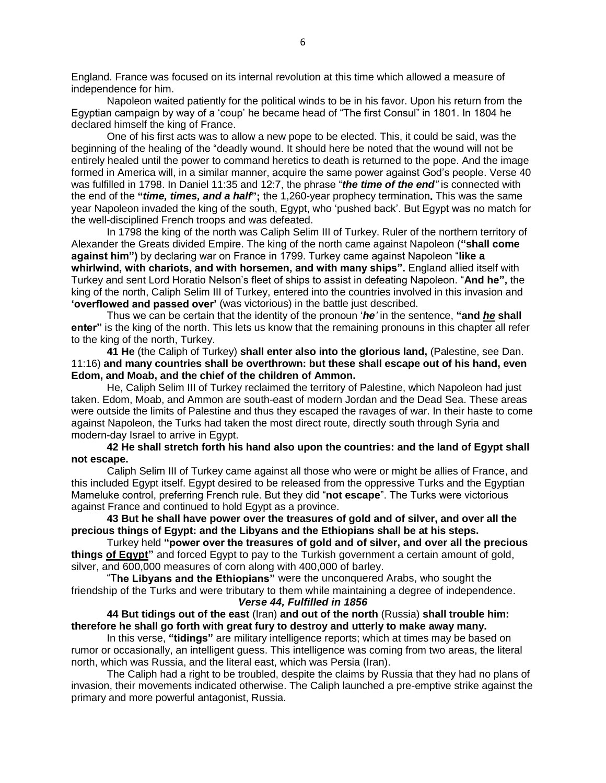England. France was focused on its internal revolution at this time which allowed a measure of independence for him.

Napoleon waited patiently for the political winds to be in his favor. Upon his return from the Egyptian campaign by way of a 'coup' he became head of "The first Consul" in 1801. In 1804 he declared himself the king of France.

One of his first acts was to allow a new pope to be elected. This, it could be said, was the beginning of the healing of the "deadly wound. It should here be noted that the wound will not be entirely healed until the power to command heretics to death is returned to the pope. And the image formed in America will, in a similar manner, acquire the same power against God's people. Verse 40 was fulfilled in 1798. In Daniel 11:35 and 12:7, the phrase "*the time of the end"* is connected with the end of the **"***time, times, and a half***";** the 1,260-year prophecy termination**.** This was the same year Napoleon invaded the king of the south, Egypt, who 'pushed back'. But Egypt was no match for the well-disciplined French troops and was defeated.

In 1798 the king of the north was Caliph Selim III of Turkey. Ruler of the northern territory of Alexander the Greats divided Empire. The king of the north came against Napoleon (**"shall come against him")** by declaring war on France in 1799. Turkey came against Napoleon "**like a whirlwind, with chariots, and with horsemen, and with many ships".** England allied itself with Turkey and sent Lord Horatio Nelson's fleet of ships to assist in defeating Napoleon. "**And he",** the king of the north, Caliph Selim III of Turkey, entered into the countries involved in this invasion and **'overflowed and passed over'** (was victorious) in the battle just described.

Thus we can be certain that the identity of the pronoun '*he'* in the sentence, **"and** *he* **shall enter"** is the king of the north. This lets us know that the remaining pronouns in this chapter all refer to the king of the north, Turkey.

**41 He** (the Caliph of Turkey) **shall enter also into the glorious land,** (Palestine, see Dan. 11:16) **and many countries shall be overthrown: but these shall escape out of his hand, even Edom, and Moab, and the chief of the children of Ammon.**

He, Caliph Selim III of Turkey reclaimed the territory of Palestine, which Napoleon had just taken. Edom, Moab, and Ammon are south-east of modern Jordan and the Dead Sea. These areas were outside the limits of Palestine and thus they escaped the ravages of war. In their haste to come against Napoleon, the Turks had taken the most direct route, directly south through Syria and modern-day Israel to arrive in Egypt.

# **42 He shall stretch forth his hand also upon the countries: and the land of Egypt shall not escape.**

Caliph Selim III of Turkey came against all those who were or might be allies of France, and this included Egypt itself. Egypt desired to be released from the oppressive Turks and the Egyptian Mameluke control, preferring French rule. But they did "**not escape**". The Turks were victorious against France and continued to hold Egypt as a province.

**43 But he shall have power over the treasures of gold and of silver, and over all the precious things of Egypt: and the Libyans and the Ethiopians shall be at his steps.**

Turkey held **"power over the treasures of gold and of silver, and over all the precious things of Egypt"** and forced Egypt to pay to the Turkish government a certain amount of gold, silver, and 600,000 measures of corn along with 400,000 of barley.

"T**he Libyans and the Ethiopians"** were the unconquered Arabs, who sought the friendship of the Turks and were tributary to them while maintaining a degree of independence. *Verse 44, Fulfilled in 1856*

# **44 But tidings out of the east** (Iran) **and out of the north** (Russia) **shall trouble him: therefore he shall go forth with great fury to destroy and utterly to make away many.**

In this verse, **"tidings"** are military intelligence reports; which at times may be based on rumor or occasionally, an intelligent guess. This intelligence was coming from two areas, the literal north, which was Russia, and the literal east, which was Persia (Iran).

The Caliph had a right to be troubled, despite the claims by Russia that they had no plans of invasion, their movements indicated otherwise. The Caliph launched a pre-emptive strike against the primary and more powerful antagonist, Russia.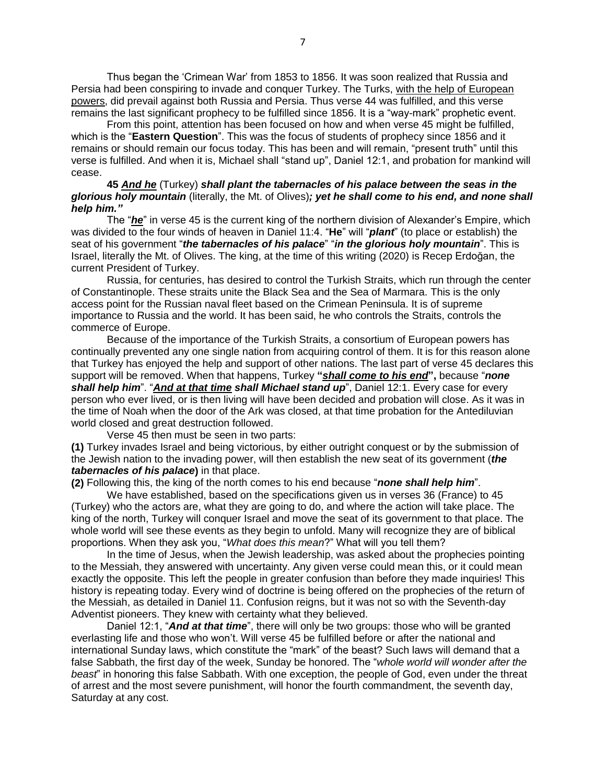Thus began the 'Crimean War' from 1853 to 1856. It was soon realized that Russia and Persia had been conspiring to invade and conquer Turkey. The Turks, with the help of European powers, did prevail against both Russia and Persia. Thus verse 44 was fulfilled, and this verse remains the last significant prophecy to be fulfilled since 1856. It is a "way-mark" prophetic event.

From this point, attention has been focused on how and when verse 45 might be fulfilled, which is the "**Eastern Question**". This was the focus of students of prophecy since 1856 and it remains or should remain our focus today. This has been and will remain, "present truth" until this verse is fulfilled. And when it is, Michael shall "stand up", Daniel 12:1, and probation for mankind will cease.

## **45** *And he* (Turkey) *shall plant the tabernacles of his palace between the seas in the glorious holy mountain* (literally, the Mt. of Olives)*; yet he shall come to his end, and none shall help him."*

The "*he*" in verse 45 is the current king of the northern division of Alexander's Empire, which was divided to the four winds of heaven in Daniel 11:4. "**He**" will "*plant*" (to place or establish) the seat of his government "*the tabernacles of his palace*" "*in the glorious holy mountain*". This is Israel, literally the Mt. of Olives. The king, at the time of this writing (2020) is Recep Erdoğan, the current President of Turkey.

Russia, for centuries, has desired to control the Turkish Straits, which run through the center of Constantinople. These straits unite the Black Sea and the Sea of Marmara. This is the only access point for the Russian naval fleet based on the Crimean Peninsula. It is of supreme importance to Russia and the world. It has been said, he who controls the Straits, controls the commerce of Europe.

Because of the importance of the Turkish Straits, a consortium of European powers has continually prevented any one single nation from acquiring control of them. It is for this reason alone that Turkey has enjoyed the help and support of other nations. The last part of verse 45 declares this support will be removed. When that happens, Turkey **"***shall come to his end***",** because "*none shall help him*". "*And at that time shall Michael stand up*", Daniel 12:1. Every case for every person who ever lived, or is then living will have been decided and probation will close. As it was in the time of Noah when the door of the Ark was closed, at that time probation for the Antediluvian world closed and great destruction followed.

Verse 45 then must be seen in two parts:

**(1)** Turkey invades Israel and being victorious, by either outright conquest or by the submission of the Jewish nation to the invading power, will then establish the new seat of its government (*the tabernacles of his palace***)** in that place.

**(2)** Following this, the king of the north comes to his end because "*none shall help him*".

We have established, based on the specifications given us in verses 36 (France) to 45 (Turkey) who the actors are, what they are going to do, and where the action will take place. The king of the north, Turkey will conquer Israel and move the seat of its government to that place. The whole world will see these events as they begin to unfold. Many will recognize they are of biblical proportions. When they ask you, "*What does this mean*?" What will you tell them?

In the time of Jesus, when the Jewish leadership, was asked about the prophecies pointing to the Messiah, they answered with uncertainty. Any given verse could mean this, or it could mean exactly the opposite. This left the people in greater confusion than before they made inquiries! This history is repeating today. Every wind of doctrine is being offered on the prophecies of the return of the Messiah, as detailed in Daniel 11. Confusion reigns, but it was not so with the Seventh-day Adventist pioneers. They knew with certainty what they believed.

Daniel 12:1, "*And at that time*", there will only be two groups: those who will be granted everlasting life and those who won't. Will verse 45 be fulfilled before or after the national and international Sunday laws, which constitute the "mark" of the beast? Such laws will demand that a false Sabbath, the first day of the week, Sunday be honored. The "*whole world will wonder after the beast*" in honoring this false Sabbath. With one exception, the people of God, even under the threat of arrest and the most severe punishment, will honor the fourth commandment, the seventh day, Saturday at any cost.